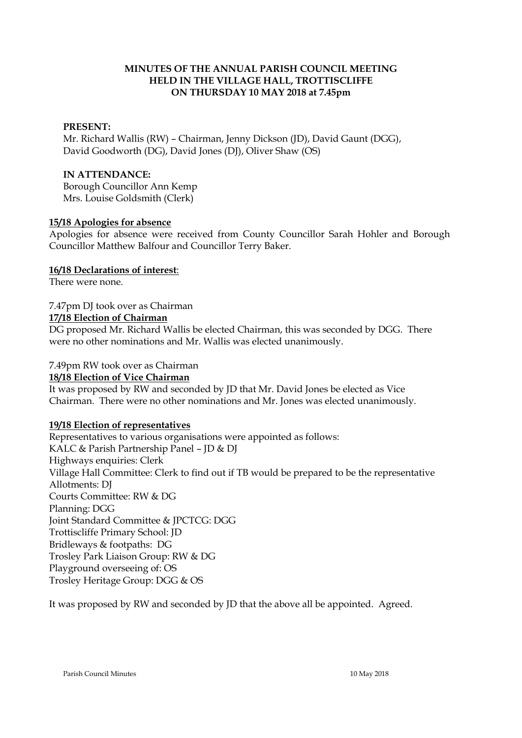## **MINUTES OF THE ANNUAL PARISH COUNCIL MEETING HELD IN THE VILLAGE HALL, TROTTISCLIFFE ON THURSDAY 10 MAY 2018 at 7.45pm**

## **PRESENT:**

Mr. Richard Wallis (RW) – Chairman, Jenny Dickson (JD), David Gaunt (DGG), David Goodworth (DG), David Jones (DJ), Oliver Shaw (OS)

#### **IN ATTENDANCE:**

Borough Councillor Ann Kemp Mrs. Louise Goldsmith (Clerk)

### **15/18 Apologies for absence**

Apologies for absence were received from County Councillor Sarah Hohler and Borough Councillor Matthew Balfour and Councillor Terry Baker.

### **16/18 Declarations of interest**:

There were none.

## 7.47pm DJ took over as Chairman

### **17/18 Election of Chairman**

DG proposed Mr. Richard Wallis be elected Chairman, this was seconded by DGG. There were no other nominations and Mr. Wallis was elected unanimously.

### 7.49pm RW took over as Chairman

#### **18/18 Election of Vice Chairman**

It was proposed by RW and seconded by JD that Mr. David Jones be elected as Vice Chairman. There were no other nominations and Mr. Jones was elected unanimously.

## **19/18 Election of representatives**

Representatives to various organisations were appointed as follows: KALC & Parish Partnership Panel – JD & DJ Highways enquiries: Clerk Village Hall Committee: Clerk to find out if TB would be prepared to be the representative Allotments: DJ Courts Committee: RW & DG Planning: DGG Joint Standard Committee & JPCTCG: DGG Trottiscliffe Primary School: JD Bridleways & footpaths: DG Trosley Park Liaison Group: RW & DG Playground overseeing of: OS Trosley Heritage Group: DGG & OS

It was proposed by RW and seconded by JD that the above all be appointed. Agreed.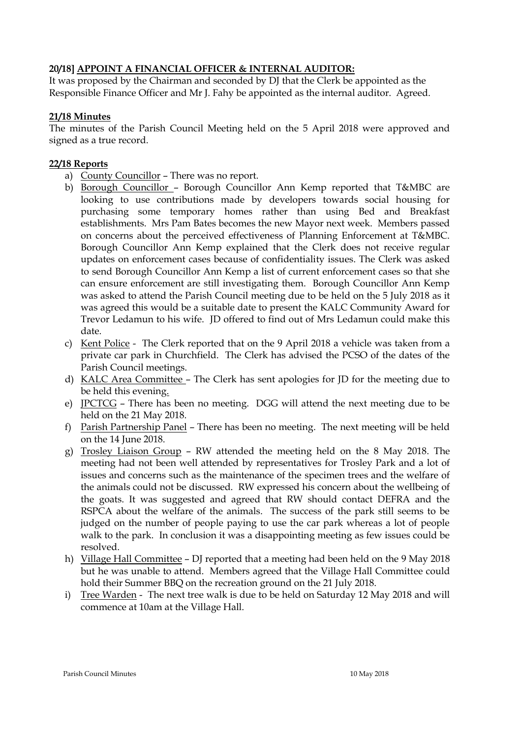# **20/18] APPOINT A FINANCIAL OFFICER & INTERNAL AUDITOR:**

It was proposed by the Chairman and seconded by DJ that the Clerk be appointed as the Responsible Finance Officer and Mr J. Fahy be appointed as the internal auditor. Agreed.

## **21/18 Minutes**

The minutes of the Parish Council Meeting held on the 5 April 2018 were approved and signed as a true record.

# **22/18 Reports**

- a) County Councillor There was no report.
- b) Borough Councillor Borough Councillor Ann Kemp reported that T&MBC are looking to use contributions made by developers towards social housing for purchasing some temporary homes rather than using Bed and Breakfast establishments. Mrs Pam Bates becomes the new Mayor next week. Members passed on concerns about the perceived effectiveness of Planning Enforcement at T&MBC. Borough Councillor Ann Kemp explained that the Clerk does not receive regular updates on enforcement cases because of confidentiality issues. The Clerk was asked to send Borough Councillor Ann Kemp a list of current enforcement cases so that she can ensure enforcement are still investigating them. Borough Councillor Ann Kemp was asked to attend the Parish Council meeting due to be held on the 5 July 2018 as it was agreed this would be a suitable date to present the KALC Community Award for Trevor Ledamun to his wife. JD offered to find out of Mrs Ledamun could make this date.
- c) Kent Police The Clerk reported that on the 9 April 2018 a vehicle was taken from a private car park in Churchfield. The Clerk has advised the PCSO of the dates of the Parish Council meetings.
- d) KALC Area Committee The Clerk has sent apologies for JD for the meeting due to be held this evening.
- e) JPCTCG There has been no meeting. DGG will attend the next meeting due to be held on the 21 May 2018.
- f) Parish Partnership Panel There has been no meeting. The next meeting will be held on the 14 June 2018.
- g) Trosley Liaison Group RW attended the meeting held on the 8 May 2018. The meeting had not been well attended by representatives for Trosley Park and a lot of issues and concerns such as the maintenance of the specimen trees and the welfare of the animals could not be discussed. RW expressed his concern about the wellbeing of the goats. It was suggested and agreed that RW should contact DEFRA and the RSPCA about the welfare of the animals. The success of the park still seems to be judged on the number of people paying to use the car park whereas a lot of people walk to the park. In conclusion it was a disappointing meeting as few issues could be resolved.
- h) Village Hall Committee DJ reported that a meeting had been held on the 9 May 2018 but he was unable to attend. Members agreed that the Village Hall Committee could hold their Summer BBQ on the recreation ground on the 21 July 2018.
- i) Tree Warden The next tree walk is due to be held on Saturday 12 May 2018 and will commence at 10am at the Village Hall.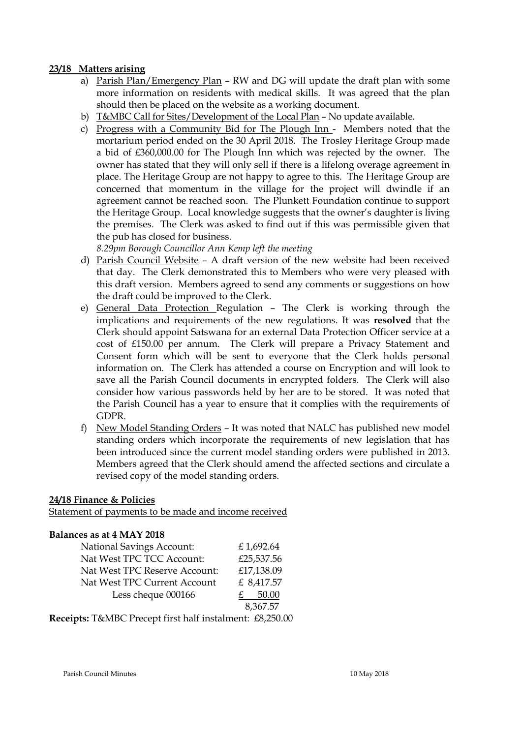### **23/18 Matters arising**

- a) Parish Plan/Emergency Plan RW and DG will update the draft plan with some more information on residents with medical skills. It was agreed that the plan should then be placed on the website as a working document.
- b) T&MBC Call for Sites/Development of the Local Plan No update available.
- c) Progress with a Community Bid for The Plough Inn Members noted that the mortarium period ended on the 30 April 2018. The Trosley Heritage Group made a bid of £360,000.00 for The Plough Inn which was rejected by the owner. The owner has stated that they will only sell if there is a lifelong overage agreement in place. The Heritage Group are not happy to agree to this. The Heritage Group are concerned that momentum in the village for the project will dwindle if an agreement cannot be reached soon. The Plunkett Foundation continue to support the Heritage Group. Local knowledge suggests that the owner's daughter is living the premises. The Clerk was asked to find out if this was permissible given that the pub has closed for business.

*8.29pm Borough Councillor Ann Kemp left the meeting*

- d) Parish Council Website A draft version of the new website had been received that day. The Clerk demonstrated this to Members who were very pleased with this draft version. Members agreed to send any comments or suggestions on how the draft could be improved to the Clerk.
- e) General Data Protection Regulation The Clerk is working through the implications and requirements of the new regulations. It was **resolved** that the Clerk should appoint Satswana for an external Data Protection Officer service at a cost of £150.00 per annum. The Clerk will prepare a Privacy Statement and Consent form which will be sent to everyone that the Clerk holds personal information on. The Clerk has attended a course on Encryption and will look to save all the Parish Council documents in encrypted folders. The Clerk will also consider how various passwords held by her are to be stored. It was noted that the Parish Council has a year to ensure that it complies with the requirements of GDPR.
- f) New Model Standing Orders It was noted that NALC has published new model standing orders which incorporate the requirements of new legislation that has been introduced since the current model standing orders were published in 2013. Members agreed that the Clerk should amend the affected sections and circulate a revised copy of the model standing orders.

## **24/18 Finance & Policies**

Statement of payments to be made and income received

#### **Balances as at 4 MAY 2018**

| <b>National Savings Account:</b> | £1,692.64  |
|----------------------------------|------------|
| Nat West TPC TCC Account:        | £25,537.56 |
| Nat West TPC Reserve Account:    | £17,138.09 |
| Nat West TPC Current Account     | £ 8,417.57 |
| Less cheque 000166               | 50.00      |
|                                  | 8.367.57   |

**Receipts:** T&MBC Precept first half instalment: £8,250.00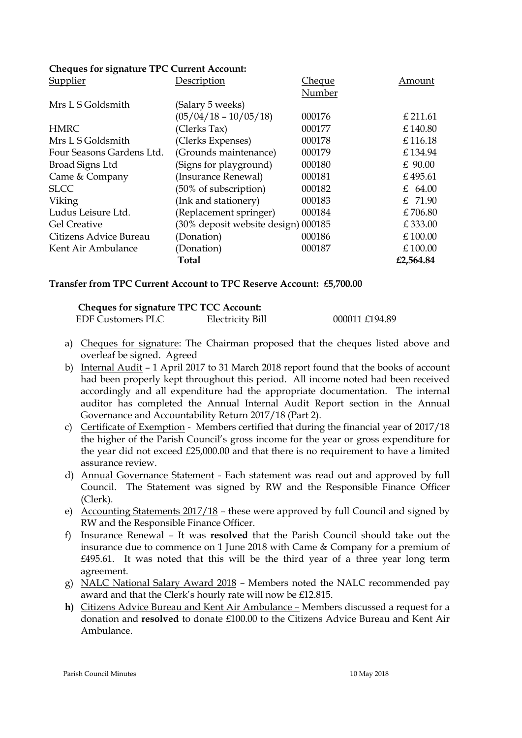### **Cheques for signature TPC Current Account:**

| <b>Supplier</b>           | Description                         | <u>Cheque</u> | Amount    |
|---------------------------|-------------------------------------|---------------|-----------|
|                           |                                     | Number        |           |
| Mrs L S Goldsmith         | (Salary 5 weeks)                    |               |           |
|                           | $(05/04/18 - 10/05/18)$             | 000176        | £ 211.61  |
| <b>HMRC</b>               | (Clerks Tax)                        | 000177        | £140.80   |
| Mrs L S Goldsmith         | (Clerks Expenses)                   | 000178        | £116.18   |
| Four Seasons Gardens Ltd. | (Grounds maintenance)               | 000179        | £134.94   |
| Broad Signs Ltd           | (Signs for playground)              | 000180        | $£$ 90.00 |
| Came & Company            | (Insurance Renewal)                 | 000181        | £495.61   |
| <b>SLCC</b>               | (50% of subscription)               | 000182        | £ 64.00   |
| Viking                    | (Ink and stationery)                | 000183        | £ 71.90   |
| Ludus Leisure Ltd.        | (Replacement springer)              | 000184        | £706.80   |
| <b>Gel Creative</b>       | (30% deposit website design) 000185 |               | £333.00   |
| Citizens Advice Bureau    | (Donation)                          | 000186        | £100.00   |
| Kent Air Ambulance        | (Donation)                          | 000187        | £100.00   |
|                           | Total                               |               | £2,564.84 |

#### **Transfer from TPC Current Account to TPC Reserve Account: £5,700.00**

| <b>Cheques for signature TPC TCC Account:</b> |                  |                |
|-----------------------------------------------|------------------|----------------|
| EDF Customers PLC                             | Electricity Bill | 000011 £194.89 |

- a) Cheques for signature: The Chairman proposed that the cheques listed above and overleaf be signed. Agreed
- b) Internal Audit 1 April 2017 to 31 March 2018 report found that the books of account had been properly kept throughout this period. All income noted had been received accordingly and all expenditure had the appropriate documentation. The internal auditor has completed the Annual Internal Audit Report section in the Annual Governance and Accountability Return 2017/18 (Part 2).
- c) Certificate of Exemption Members certified that during the financial year of 2017/18 the higher of the Parish Council's gross income for the year or gross expenditure for the year did not exceed £25,000.00 and that there is no requirement to have a limited assurance review.
- d) Annual Governance Statement Each statement was read out and approved by full Council. The Statement was signed by RW and the Responsible Finance Officer (Clerk).
- e) Accounting Statements  $2017/18$  these were approved by full Council and signed by RW and the Responsible Finance Officer.
- f) Insurance Renewal It was **resolved** that the Parish Council should take out the insurance due to commence on 1 June 2018 with Came & Company for a premium of £495.61. It was noted that this will be the third year of a three year long term agreement.
- g) NALC National Salary Award 2018 Members noted the NALC recommended pay award and that the Clerk's hourly rate will now be £12.815.
- **h)** Citizens Advice Bureau and Kent Air Ambulance Members discussed a request for a donation and **resolved** to donate £100.00 to the Citizens Advice Bureau and Kent Air Ambulance.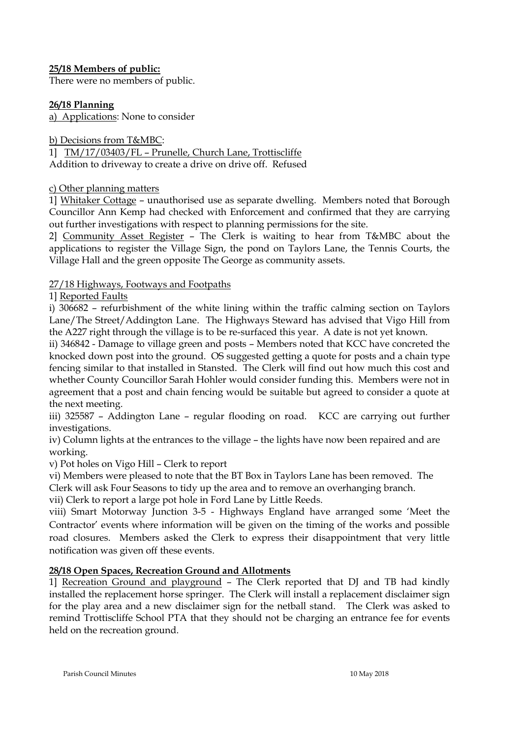# **25/18 Members of public:**

There were no members of public.

# **26/18 Planning**

a) Applications: None to consider

b) Decisions from T&MBC:

1] TM/17/03403/FL – Prunelle, Church Lane, Trottiscliffe Addition to driveway to create a drive on drive off. Refused

## c) Other planning matters

1] Whitaker Cottage – unauthorised use as separate dwelling. Members noted that Borough Councillor Ann Kemp had checked with Enforcement and confirmed that they are carrying out further investigations with respect to planning permissions for the site.

2] Community Asset Register – The Clerk is waiting to hear from T&MBC about the applications to register the Village Sign, the pond on Taylors Lane, the Tennis Courts, the Village Hall and the green opposite The George as community assets.

# 27/18 Highways, Footways and Footpaths

1] Reported Faults

i) 306682 – refurbishment of the white lining within the traffic calming section on Taylors Lane/The Street/Addington Lane. The Highways Steward has advised that Vigo Hill from the A227 right through the village is to be re-surfaced this year. A date is not yet known.

ii) 346842 - Damage to village green and posts – Members noted that KCC have concreted the knocked down post into the ground. OS suggested getting a quote for posts and a chain type fencing similar to that installed in Stansted. The Clerk will find out how much this cost and whether County Councillor Sarah Hohler would consider funding this. Members were not in agreement that a post and chain fencing would be suitable but agreed to consider a quote at the next meeting.

iii) 325587 – Addington Lane – regular flooding on road. KCC are carrying out further investigations.

iv) Column lights at the entrances to the village – the lights have now been repaired and are working.

v) Pot holes on Vigo Hill – Clerk to report

vi) Members were pleased to note that the BT Box in Taylors Lane has been removed. The

Clerk will ask Four Seasons to tidy up the area and to remove an overhanging branch.

vii) Clerk to report a large pot hole in Ford Lane by Little Reeds.

viii) Smart Motorway Junction 3-5 - Highways England have arranged some 'Meet the Contractor' events where information will be given on the timing of the works and possible road closures. Members asked the Clerk to express their disappointment that very little notification was given off these events.

# **28/18 Open Spaces, Recreation Ground and Allotments**

1] Recreation Ground and playground – The Clerk reported that DJ and TB had kindly installed the replacement horse springer. The Clerk will install a replacement disclaimer sign for the play area and a new disclaimer sign for the netball stand. The Clerk was asked to remind Trottiscliffe School PTA that they should not be charging an entrance fee for events held on the recreation ground.